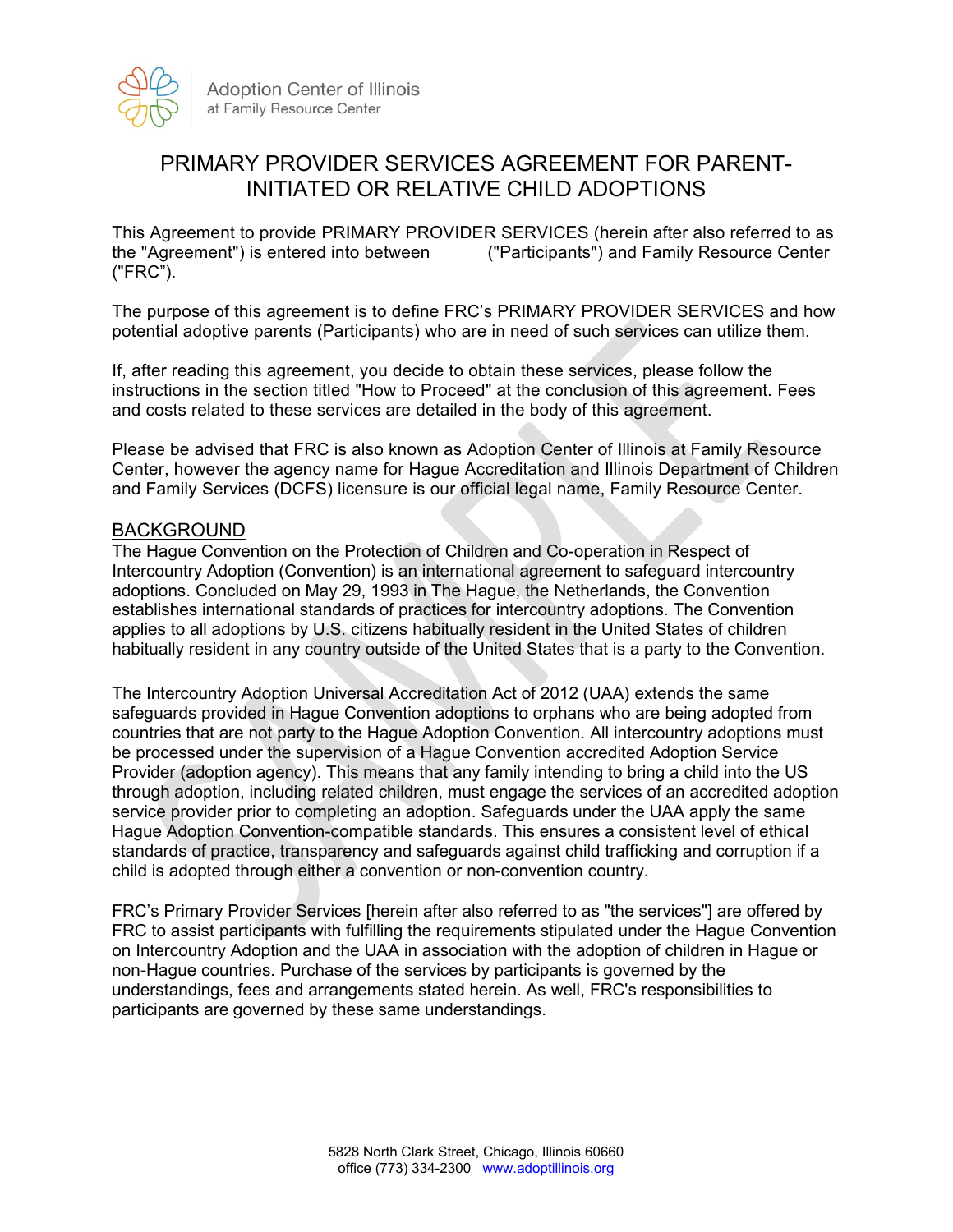

**Adoption Center of Illinois** at Family Resource Center

# PRIMARY PROVIDER SERVICES AGREEMENT FOR PARENT-INITIATED OR RELATIVE CHILD ADOPTIONS

This Agreement to provide PRIMARY PROVIDER SERVICES (herein after also referred to as the "Agreement") is entered into between ("Participants") and Family Resource Center ("FRC").

The purpose of this agreement is to define FRC's PRIMARY PROVIDER SERVICES and how potential adoptive parents (Participants) who are in need of such services can utilize them.

If, after reading this agreement, you decide to obtain these services, please follow the instructions in the section titled "How to Proceed" at the conclusion of this agreement. Fees and costs related to these services are detailed in the body of this agreement.

Please be advised that FRC is also known as Adoption Center of Illinois at Family Resource Center, however the agency name for Hague Accreditation and Illinois Department of Children and Family Services (DCFS) licensure is our official legal name, Family Resource Center.

#### BACKGROUND

The Hague Convention on the Protection of Children and Co-operation in Respect of Intercountry Adoption (Convention) is an international agreement to safeguard intercountry adoptions. Concluded on May 29, 1993 in The Hague, the Netherlands, the Convention establishes international standards of practices for intercountry adoptions. The Convention applies to all adoptions by U.S. citizens habitually resident in the United States of children habitually resident in any country outside of the United States that is a party to the Convention.

The Intercountry [Adoption Universal Accreditation](http://www.gpo.gov/fdsys/pkg/PLAW-112publ276/pdf/PLAW-112publ276.pdf) Act of 2012 (UAA) extends the same safeguards provided in Hague Convention adoptions to orphans who are being adopted from countries that are not party to the Hague Adoption Convention. All intercountry adoptions must be processed under the supervision of a Hague Convention accredited Adoption Service Provider (adoption agency). This means that any family intending to bring a child into the US through adoption, including related children, must engage the services of an accredited adoption service provider prior to completing an adoption. Safeguards under the UAA apply the same Hague Adoption Convention-compatible standards. This ensures a consistent level of ethical standards of practice, transparency and safeguards against child trafficking and corruption if a child is adopted through either a convention or non-convention country.

FRC's Primary Provider Services [herein after also referred to as "the services"] are offered by FRC to assist participants with fulfilling the requirements stipulated under the Hague Convention on Intercountry Adoption and the UAA in association with the adoption of children in Hague or non-Hague countries. Purchase of the services by participants is governed by the understandings, fees and arrangements stated herein. As well, FRC's responsibilities to participants are governed by these same understandings.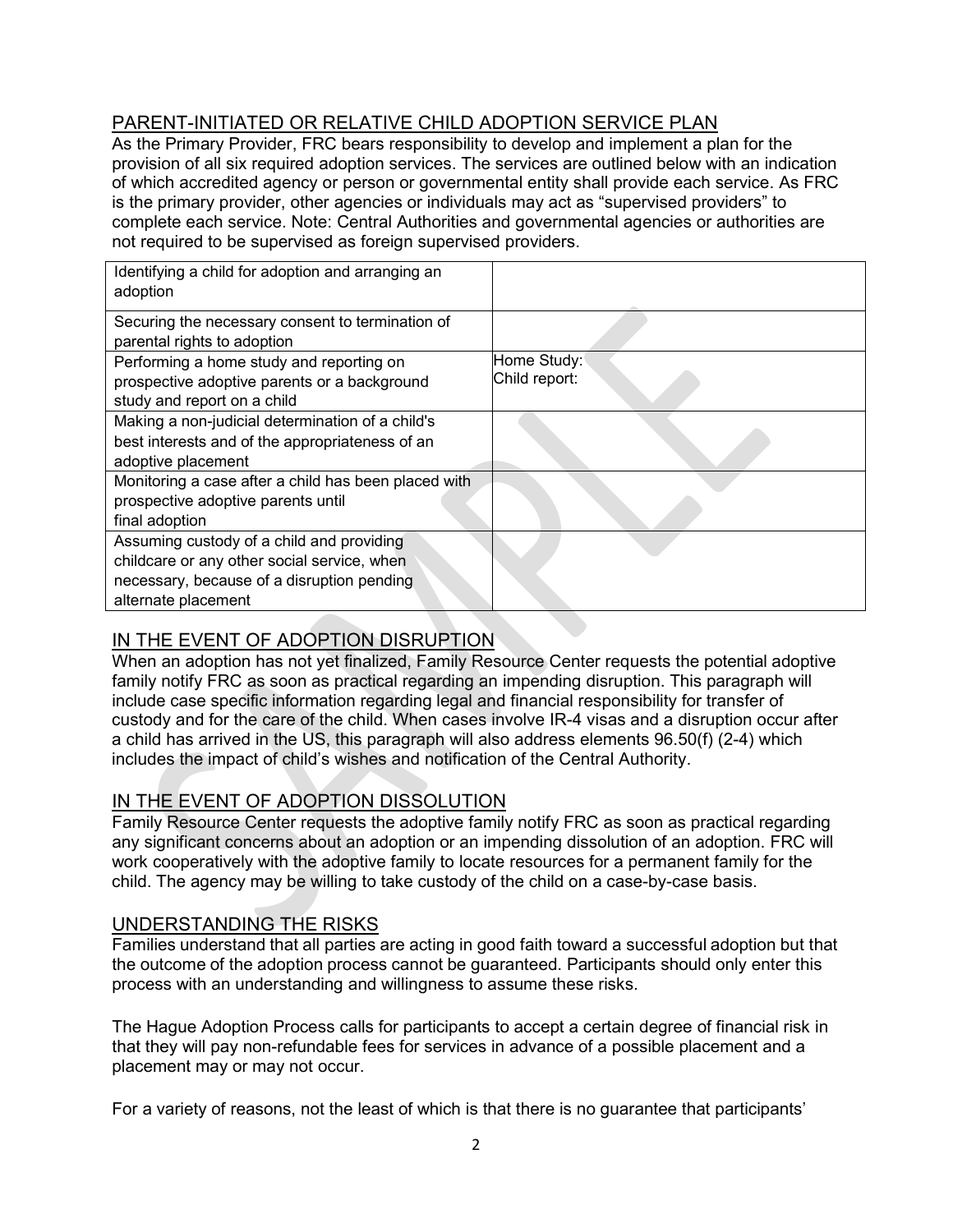# PARENT-INITIATED OR RELATIVE CHILD ADOPTION SERVICE PLAN

As the Primary Provider, FRC bears responsibility to develop and implement a plan for the provision of all six required adoption services. The services are outlined below with an indication of which accredited agency or person or governmental entity shall provide each service. As FRC is the primary provider, other agencies or individuals may act as "supervised providers" to complete each service. Note: Central Authorities and governmental agencies or authorities are not required to be supervised as foreign supervised providers.

| Identifying a child for adoption and arranging an<br>adoption                                                                                                 |                              |
|---------------------------------------------------------------------------------------------------------------------------------------------------------------|------------------------------|
| Securing the necessary consent to termination of<br>parental rights to adoption                                                                               |                              |
| Performing a home study and reporting on<br>prospective adoptive parents or a background<br>study and report on a child                                       | Home Study:<br>Child report: |
| Making a non-judicial determination of a child's<br>best interests and of the appropriateness of an<br>adoptive placement                                     |                              |
| Monitoring a case after a child has been placed with<br>prospective adoptive parents until<br>final adoption                                                  |                              |
| Assuming custody of a child and providing<br>childcare or any other social service, when<br>necessary, because of a disruption pending<br>alternate placement |                              |

# IN THE EVENT OF ADOPTION DISRUPTION

When an adoption has not yet finalized, Family Resource Center requests the potential adoptive family notify FRC as soon as practical regarding an impending disruption. This paragraph will include case specific information regarding legal and financial responsibility for transfer of custody and for the care of the child. When cases involve IR-4 visas and a disruption occur after a child has arrived in the US, this paragraph will also address elements 96.50(f) (2-4) which includes the impact of child's wishes and notification of the Central Authority.

# IN THE EVENT OF ADOPTION DISSOLUTION

Family Resource Center requests the adoptive family notify FRC as soon as practical regarding any significant concerns about an adoption or an impending dissolution of an adoption. FRC will work cooperatively with the adoptive family to locate resources for a permanent family for the child. The agency may be willing to take custody of the child on a case-by-case basis.

# UNDERSTANDING THE RISKS

Families understand that all parties are acting in good faith toward a successful adoption but that the outcome of the adoption process cannot be guaranteed. Participants should only enter this process with an understanding and willingness to assume these risks.

The Hague Adoption Process calls for participants to accept a certain degree of financial risk in that they will pay non-refundable fees for services in advance of a possible placement and a placement may or may not occur.

For a variety of reasons, not the least of which is that there is no guarantee that participants'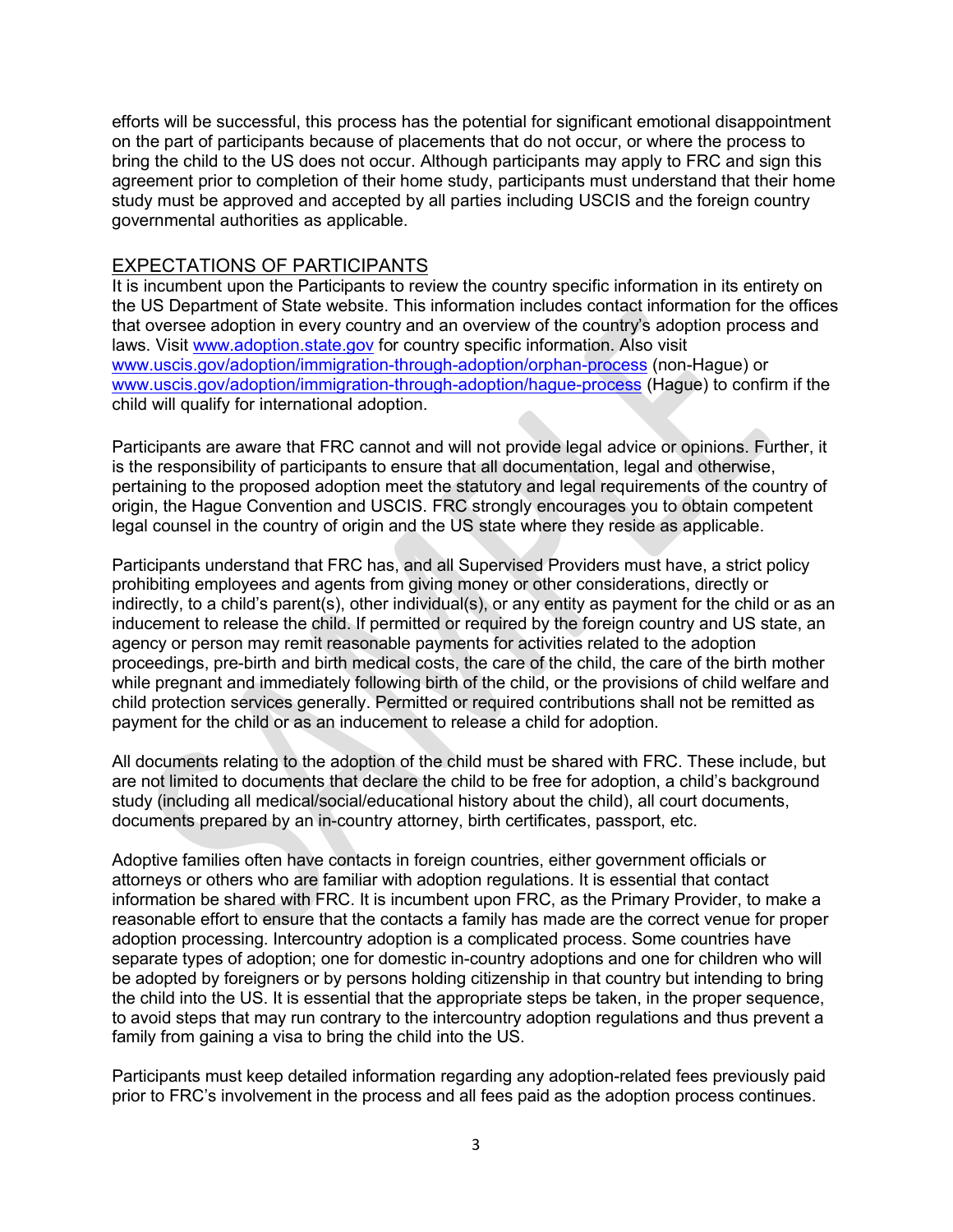efforts will be successful, this process has the potential for significant emotional disappointment on the part of participants because of placements that do not occur, or where the process to bring the child to the US does not occur. Although participants may apply to FRC and sign this agreement prior to completion of their home study, participants must understand that their home study must be approved and accepted by all parties including USCIS and the foreign country governmental authorities as applicable.

#### EXPECTATIONS OF PARTICIPANTS

It is incumbent upon the Participants to review the country specific information in its entirety on the US Department of State website. This information includes contact information for the offices that oversee adoption in every country and an overview of the country's adoption process and laws. Visit [www.adoption.state.gov](http://www.adoption.state.gov/) for country specific information. Also visit [www.uscis.gov/adoption/immigration-through-adoption/orphan-process](http://www.uscis.gov/adoption/immigration-through-adoption/orphan-process) (non-Hague) or [www.uscis.gov/adoption/immigration-through-adoption/hague-process](http://www.uscis.gov/adoption/immigration-through-adoption/hague-process) (Hague) to confirm if the child will qualify for international adoption.

Participants are aware that FRC cannot and will not provide legal advice or opinions. Further, it is the responsibility of participants to ensure that all documentation, legal and otherwise, pertaining to the proposed adoption meet the statutory and legal requirements of the country of origin, the Hague Convention and USCIS. FRC strongly encourages you to obtain competent legal counsel in the country of origin and the US state where they reside as applicable.

Participants understand that FRC has, and all Supervised Providers must have, a strict policy prohibiting employees and agents from giving money or other considerations, directly or indirectly, to a child's parent(s), other individual(s), or any entity as payment for the child or as an inducement to release the child. If permitted or required by the foreign country and US state, an agency or person may remit reasonable payments for activities related to the adoption proceedings, pre-birth and birth medical costs, the care of the child, the care of the birth mother while pregnant and immediately following birth of the child, or the provisions of child welfare and child protection services generally. Permitted or required contributions shall not be remitted as payment for the child or as an inducement to release a child for adoption.

All documents relating to the adoption of the child must be shared with FRC. These include, but are not limited to documents that declare the child to be free for adoption, a child's background study (including all medical/social/educational history about the child), all court documents, documents prepared by an in-country attorney, birth certificates, passport, etc.

Adoptive families often have contacts in foreign countries, either government officials or attorneys or others who are familiar with adoption regulations. It is essential that contact information be shared with FRC. It is incumbent upon FRC, as the Primary Provider, to make a reasonable effort to ensure that the contacts a family has made are the correct venue for proper adoption processing. Intercountry adoption is a complicated process. Some countries have separate types of adoption; one for domestic in-country adoptions and one for children who will be adopted by foreigners or by persons holding citizenship in that country but intending to bring the child into the US. It is essential that the appropriate steps be taken, in the proper sequence, to avoid steps that may run contrary to the intercountry adoption regulations and thus prevent a family from gaining a visa to bring the child into the US.

Participants must keep detailed information regarding any adoption-related fees previously paid prior to FRC's involvement in the process and all fees paid as the adoption process continues.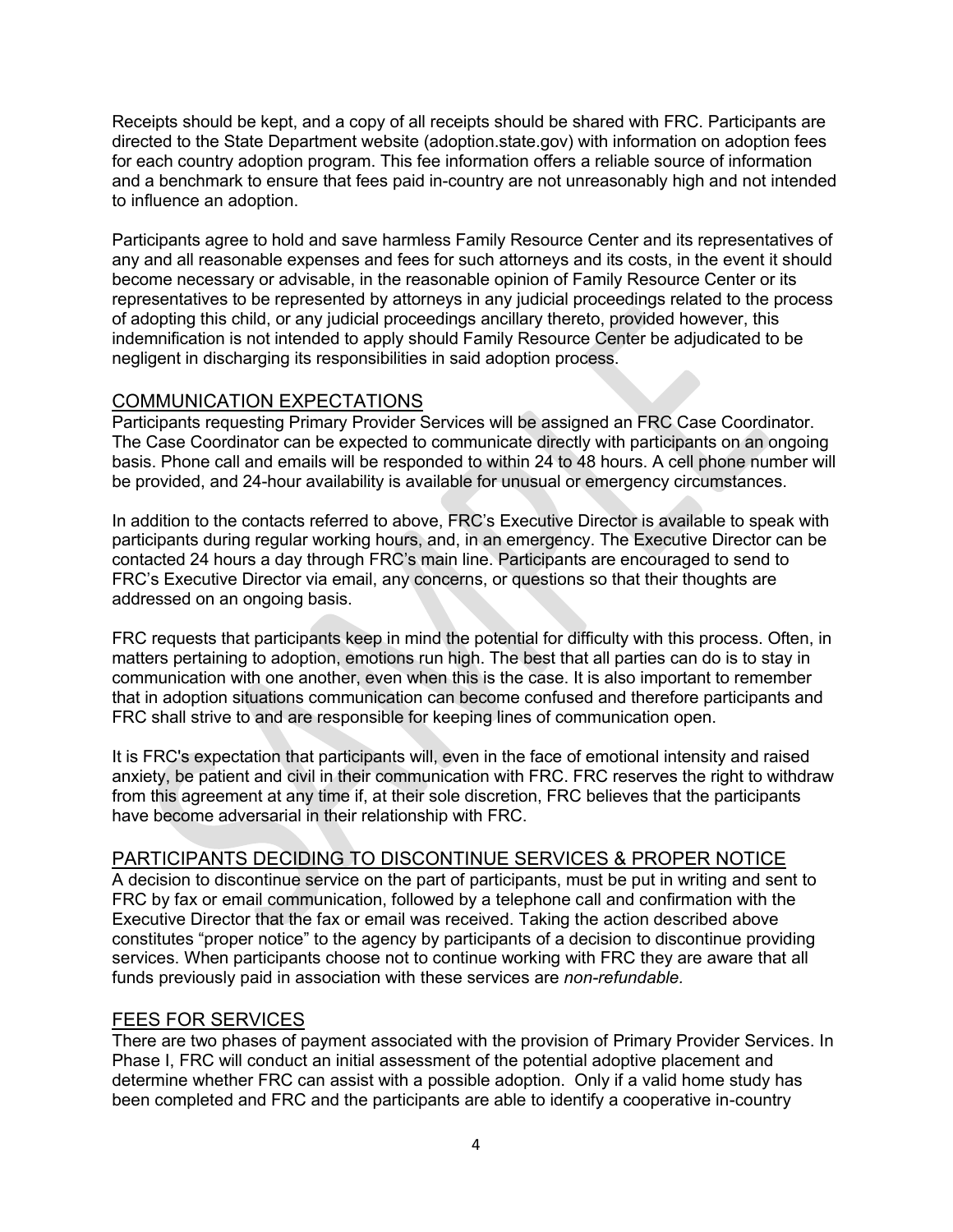Receipts should be kept, and a copy of all receipts should be shared with FRC. Participants are directed to the State Department website (adoption.state.gov) with information on adoption fees for each country adoption program. This fee information offers a reliable source of information and a benchmark to ensure that fees paid in-country are not unreasonably high and not intended to influence an adoption.

Participants agree to hold and save harmless Family Resource Center and its representatives of any and all reasonable expenses and fees for such attorneys and its costs, in the event it should become necessary or advisable, in the reasonable opinion of Family Resource Center or its representatives to be represented by attorneys in any judicial proceedings related to the process of adopting this child, or any judicial proceedings ancillary thereto, provided however, this indemnification is not intended to apply should Family Resource Center be adjudicated to be negligent in discharging its responsibilities in said adoption process.

### COMMUNICATION EXPECTATIONS

Participants requesting Primary Provider Services will be assigned an FRC Case Coordinator. The Case Coordinator can be expected to communicate directly with participants on an ongoing basis. Phone call and emails will be responded to within 24 to 48 hours. A cell phone number will be provided, and 24-hour availability is available for unusual or emergency circumstances.

In addition to the contacts referred to above, FRC's Executive Director is available to speak with participants during regular working hours, and, in an emergency. The Executive Director can be contacted 24 hours a day through FRC's main line. Participants are encouraged to send to FRC's Executive Director via email, any concerns, or questions so that their thoughts are addressed on an ongoing basis.

FRC requests that participants keep in mind the potential for difficulty with this process. Often, in matters pertaining to adoption, emotions run high. The best that all parties can do is to stay in communication with one another, even when this is the case. It is also important to remember that in adoption situations communication can become confused and therefore participants and FRC shall strive to and are responsible for keeping lines of communication open.

It is FRC's expectation that participants will, even in the face of emotional intensity and raised anxiety, be patient and civil in their communication with FRC. FRC reserves the right to withdraw from this agreement at any time if, at their sole discretion, FRC believes that the participants have become adversarial in their relationship with FRC.

### PARTICIPANTS DECIDING TO DISCONTINUE SERVICES & PROPER NOTICE

A decision to discontinue service on the part of participants, must be put in writing and sent to FRC by fax or email communication, followed by a telephone call and confirmation with the Executive Director that the fax or email was received. Taking the action described above constitutes "proper notice" to the agency by participants of a decision to discontinue providing services. When participants choose not to continue working with FRC they are aware that all funds previously paid in association with these services are *non-refundable.*

### FEES FOR SERVICES

There are two phases of payment associated with the provision of Primary Provider Services. In Phase I, FRC will conduct an initial assessment of the potential adoptive placement and determine whether FRC can assist with a possible adoption. Only if a valid home study has been completed and FRC and the participants are able to identify a cooperative in-country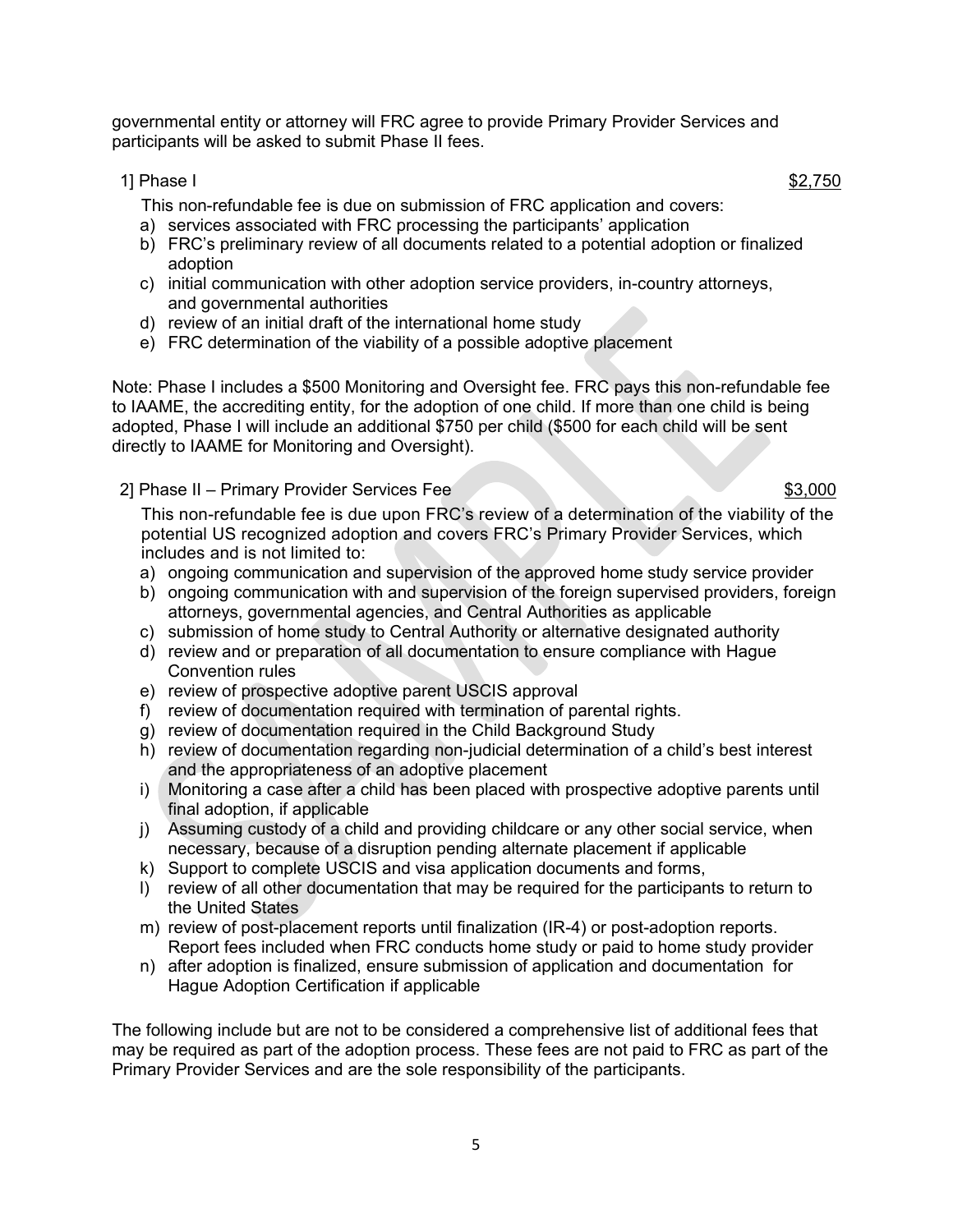governmental entity or attorney will FRC agree to provide Primary Provider Services and participants will be asked to submit Phase II fees.

### 1] Phase I \$2,750

This non-refundable fee is due on submission of FRC application and covers:

- a) services associated with FRC processing the participants' application
- b) FRC's preliminary review of all documents related to a potential adoption or finalized adoption
- c) initial communication with other adoption service providers, in-country attorneys, and governmental authorities
- d) review of an initial draft of the international home study
- e) FRC determination of the viability of a possible adoptive placement

Note: Phase I includes a \$500 Monitoring and Oversight fee. FRC pays this non-refundable fee to IAAME, the accrediting entity, for the adoption of one child. If more than one child is being adopted, Phase I will include an additional \$750 per child (\$500 for each child will be sent directly to IAAME for Monitoring and Oversight).

2] Phase II – Primary Provider Services Fee \$3,000

This non-refundable fee is due upon FRC's review of a determination of the viability of the potential US recognized adoption and covers FRC's Primary Provider Services, which includes and is not limited to:

- a) ongoing communication and supervision of the approved home study service provider
- b) ongoing communication with and supervision of the foreign supervised providers, foreign attorneys, governmental agencies, and Central Authorities as applicable
- c) submission of home study to Central Authority or alternative designated authority
- d) review and or preparation of all documentation to ensure compliance with Hague Convention rules
- e) review of prospective adoptive parent USCIS approval
- f) review of documentation required with termination of parental rights.
- g) review of documentation required in the Child Background Study
- h) review of documentation regarding non-judicial determination of a child's best interest and the appropriateness of an adoptive placement
- i) Monitoring a case after a child has been placed with prospective adoptive parents until final adoption, if applicable
- j) Assuming custody of a child and providing childcare or any other social service, when necessary, because of a disruption pending alternate placement if applicable
- k) Support to complete USCIS and visa application documents and forms,
- l) review of all other documentation that may be required for the participants to return to the United States
- m) review of post-placement reports until finalization (IR-4) or post-adoption reports. Report fees included when FRC conducts home study or paid to home study provider
- n) after adoption is finalized, ensure submission of application and documentation for Hague Adoption Certification if applicable

The following include but are not to be considered a comprehensive list of additional fees that may be required as part of the adoption process. These fees are not paid to FRC as part of the Primary Provider Services and are the sole responsibility of the participants.